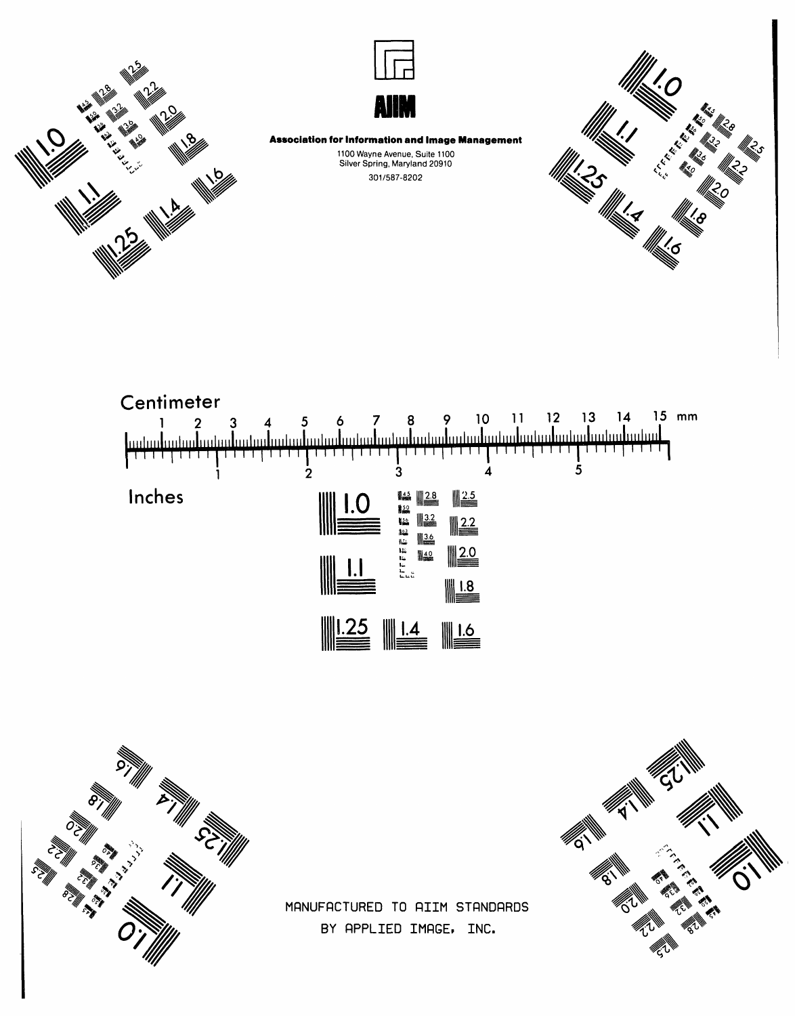





**Association for Information and Image Management** 1100 Wayne Avenue, Suite 1100<br>Silver Spring, Maryland 20910 301/587-8202









MANUFACTURED TO AIIM STANDARDS BY APPLIED IMAGE, INC.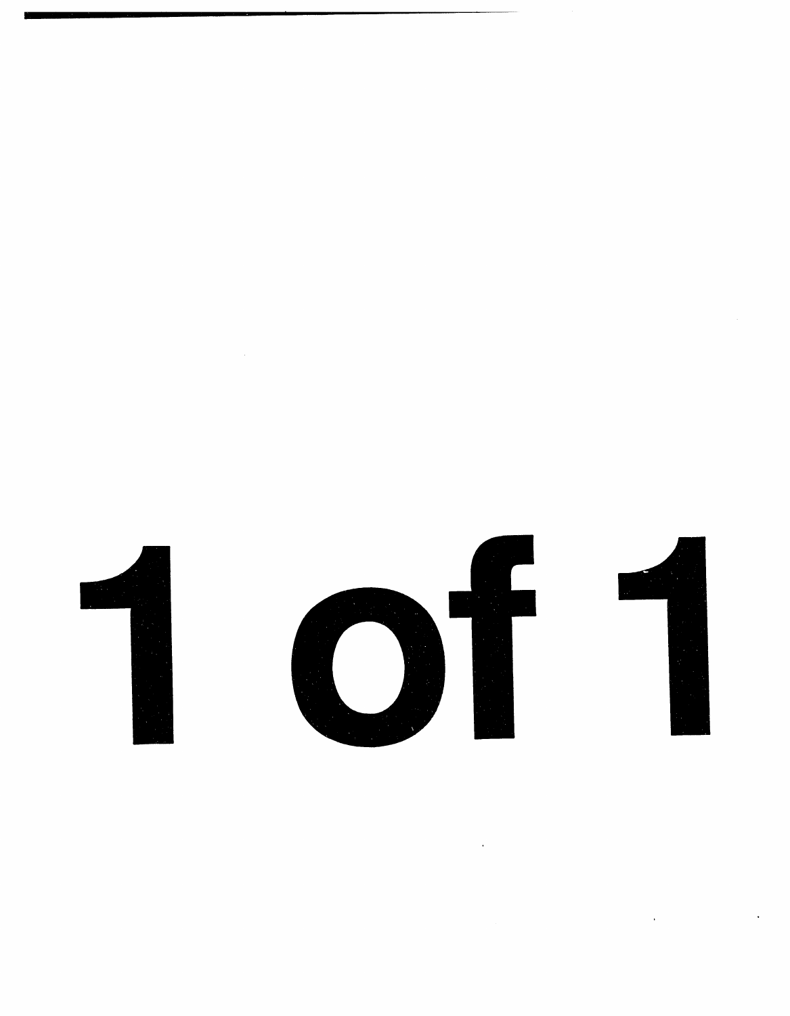

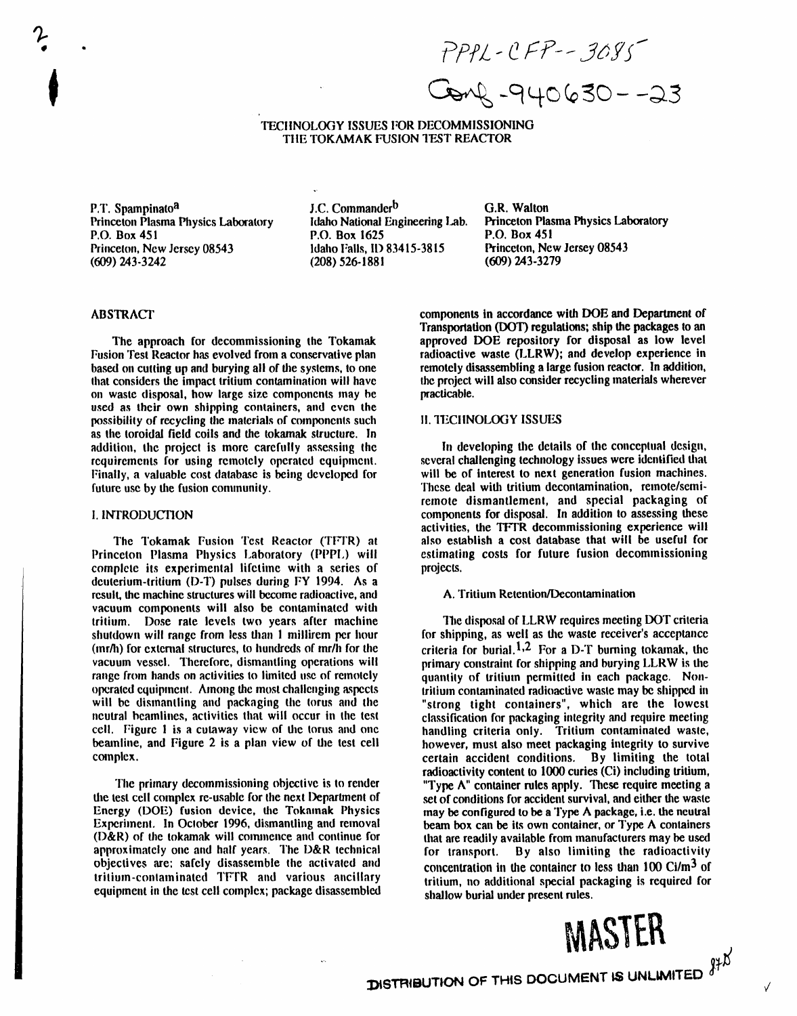$PPPL - CFP - JOSS$  $Covg - 940630 - -23$ 

# TECHNOLOGY ISSUES FOR DECOMMISSIONING THE TOKAMAK FUSION TEST REACTOR

P.T. Spampinato<sup>a</sup> Princeton Plasma Physics Laboratory P.O. Box 451 Princeton, New Jersey 08543  $(609)$  243-3242

J.C. Commander<sup>b</sup> Idaho National Engineering Lab. P.O. Box 1625 Idaho Falls, ID 83415-3815  $(208)$  526-1881

G.R. Walton **Princeton Plasma Physics Laboratory** P.O. Box 451 Princeton, New Jersey 08543  $(609)$  243-3279

# **ABSTRACT**

The approach for decommissioning the Tokamak Fusion Test Reactor has evolved from a conservative plan based on cutting up and burying all of the systems, to one that considers the impact tritium contamination will have on waste disposal, how large size components may be used as their own shipping containers, and even the possibility of recycling the materials of components such as the toroidal field coils and the tokamak structure. In addition, the project is more carefully assessing the requirements for using remotely operated equipment. Finally, a valuable cost database is being developed for future use by the fusion community.

## I. INTRODUCTION

The Tokamak Fusion Test Reactor (TFTR) at Princeton Plasma Physics Laboratory (PPPL) will complete its experimental lifetime with a series of deuterium-tritium (D-T) pulses during FY 1994. As a result, the machine structures will become radioactive, and vacuum components will also be contaminated with tritium. Dose rate levels two years after machine shutdown will range from less than 1 millirem per hour (mr/h) for external structures, to hundreds of mr/h for the vacuum vessel. Therefore, dismantling operations will range from hands on activities to limited use of remotely operated equipment. Among the most challenging aspects will be dismantling and packaging the torus and the neutral beamlines, activities that will occur in the test cell. Figure 1 is a cutaway view of the torus and one beamline, and Figure 2 is a plan view of the test cell complex.

The primary decommissioning objective is to render the test cell complex re-usable for the next Department of Energy (DOE) fusion device, the Tokamak Physics Experiment. In October 1996, dismantling and removal (D&R) of the tokamak will commence and continue for approximately one and half years. The D&R technical objectives are: safely disassemble the activated and tritium-contaminated TFTR and various ancillary equipment in the test cell complex; package disassembled components in accordance with DOE and Department of Transportation (DOT) regulations; ship the packages to an approved DOE repository for disposal as low level radioactive waste (LLRW); and develop experience in remotely disassembling a large fusion reactor. In addition, the project will also consider recycling materials wherever practicable.

# **II. TECHNOLOGY ISSUES**

In developing the details of the conceptual design, several challenging technology issues were identified that will be of interest to next generation fusion machines. These deal with tritium decontamination, remote/semiremote dismantlement, and special packaging of components for disposal. In addition to assessing these activities, the TFTR decommissioning experience will also establish a cost database that will be useful for estimating costs for future fusion decommissioning projects.

# A. Tritium Retention/Decontamination

The disposal of LLRW requires meeting DOT criteria for shipping, as well as the waste receiver's acceptance criteria for burial.<sup>1,2</sup> For a D-T burning tokamak, the primary constraint for shipping and burying LLRW is the quantity of tritium permitted in each package. Nontritium contaminated radioactive waste may be shipped in "strong tight containers", which are the lowest classification for packaging integrity and require meeting handling criteria only. Tritium contaminated waste, however, must also meet packaging integrity to survive certain accident conditions. By limiting the total radioactivity content to 1000 curies (Ci) including tritium, "Type A" container rules apply. These require meeting a set of conditions for accident survival, and either the waste may be configured to be a Type A package, i.e. the neutral beam box can be its own container, or Type A containers that are readily available from manufacturers may be used for transport. By also limiting the radioactivity concentration in the container to less than  $100 \text{ Ci/m}^3$  of tritium, no additional special packaging is required for shallow burial under present rules.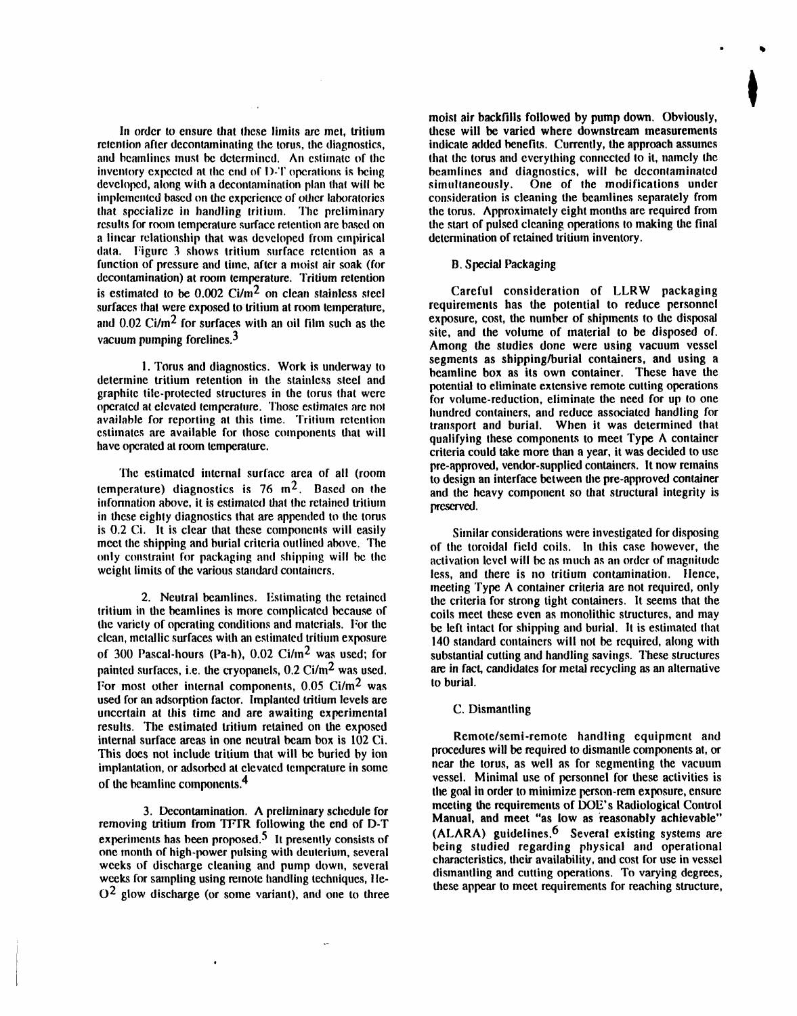retention after decontaminating the torus, the diagnostics,<br>and beamlines must be determined. An estimate of the and beamlines must be determined. An estimate of the that the torus and everything connected to it, namely the<br>inventory expected at the end of D-T operations is being beamlines and diagnostics, will be decontaminated developed, along with a decontamination plan that will be implemented based on the experience of other laboratories that specialize in handling tritium. The preliminary<br>results for room temperature surface retention are based on the start of pulsed cleaning operations to making the final results for room temperature surface retention are based on the start of pulsed cleaning operations to m<br>a linear relationship that was developed from empirical determination of retained tritium inventory. a linear relationship that was developed from empirical da**ta.** F**ig**u**r***e* 3 **s**ho**ws tritium** su**rface rete**n**tio**u **a**s **a functio**n **of pressure and ti**m**e,** *,***a**ft**er a** mo**is**t **air soak (f**o**r B. Special** P**ackaging deco**nta**mination) at roo**m tem**perature**, T**ritium r***e***t***e***ntion is estimated to be 0.002 Ci***h*n **2 on clea**n **stainless steel Careful consideration of L**L**RW packaging** surfaces that were exposed to tritium at room temperature,<br>and 0.02  $C/m^2$  for surfaces with an oil film such as the exposure, cost, the number of shipments to the disposal and  $0.02$  Ci/m<sup>2</sup> for surfaces with an oil film such as the

or volume-reduction, eliminate the need for up to one<br>operated at elevated temperature. Those estimates are not<br>hundred containers, and reduce associated handling for available for reporting at this time. Tritium retention estimates are available for those components that will

temperature) dia**g**nostics **i**s 76 m2. Based on the and the heavy com**p***o*nent so th**a**t **s**tr**u**ctu**ra**l **i**nte**g**rity is iufo**n**nation above, it is estimated th**a**t the ret**a**ined tritium \_ed. in these ei**g**h**t**y di**ag**nostics that **a**re appended t**o** the tom**s** is 0.2 Ci. It is clear that these c**o**mponents will easily Similar considerations were investigat**e**d for disposing meet the shipping and burial criteria outlined above. The of the toroidal field coils. In this case however, the only constraint for packaging and shipping will be the activation level will be as much as an order of magnit only constraint for packaging and shipping will be the exercise activation level will be as much as an order of magnitude weight limits of the various standard containers.

2. Neutral beamlines. Estimating the retained the criteria for strong tight containers. It seems that the tritium in the beamlines is more complicated because of coils meet these even as monolithic structures, and may **t**ri**t**ium in the beamlines **i**s more complica**t**ed because of **c**oils mee**t** these even a**s** monol**i**thic structures, and may the variations are *clean*, metallic surfaces with an estimated tritium exposure clean, me**t**allic surfaces with an es**t**ima**t**ed tri**t**ium exposure 140 s**t**andard containers will **n**o**t** be required, along with painted surfaces, i.e. the cryopanels,  $0.2$  Ci/m<sup>2</sup> was used. **are in fact, candidates**  $\frac{0.05 \text{ Ci/m}^2}{2 \text{ mas}}$  to burial. For most other internal components, 0.05 Ci/m<sup>2</sup> was used for an adsorption fac**t**or. Implanted tritium levels are **u**n**cer**ta**in** at th**is** t**i**me an**d ar**e **awai**t**i**ng e**x**pe**ri**men**tal C**. **Disma**nt**li**n**g** re**sults**. The estimated tritium reta**i**ned on the exposed internal surface areas in one neutral beam box is 102 Ci.<br>This does not include tritium that will be buried by ion procedures will be required to dismantle components at, or This does no**t** include tritium that will be buried by ion procedure**s** will be **r**equ**i**red to dismantle components **a**t, or implantation, or adsorbed at clevated temperature in some<br>of the beamline components.<sup>4</sup><br>the seal in order to minimize weren and assume approved at electronic sector.

3. Decontamination. A preliminary schedule for the meeting are requirements of DOE s Radiological Condomnet control.<br>"Femoving tritium from TFTR following the end of D-T Manual, and meet "as low as reasonably achievable" experiments has been proposed.<sup>5</sup> It presently consists of (ALARA) guidelines.<sup>9</sup> Several existing systems are<br>one month of high-power pulsing with deuterium, several being studied regarding physical and operational weeks of discharge cleaning and pump down, several characteristics, their availability, and cost to use in vessel<br>weeks for sampling using remote handling techniques, He-<br>these carecters are used previous that the second p  $O<sup>2</sup>$  glow discharge (or some variant), and one to three

**moist air backfi**l**ls fo**l**lowed by pump down. Obviously,** In order to ensure that these limits are met, tritium<br>these will be varied where downstream measurements<br>tion after decontaminating the torus, the diagnostics,<br>indicate added benefits. Currently, the approach assumes beamlines and diagnostics, will be decontaminated<br>simultaneously. One of the modifications under consideration is cleaning the beamlines separately from<br>the torus. Approximately eight months are required from t

**site**, **and t**he **volum***e* **of mat**e**rial to be disposed of**. vacuum pumping forelines.<sup>3</sup> exception of the studies of the studies done were using vacuum vessel **s**e**gm**e**nts as s**h**ipping***/***burial containers, and using a** 1. Torus and diagnostics. Work is underway to<br>determine tritium retention in the stainless steel and<br>determine tritium retention in the stainless steel and geternine trium retention in the statiless steel and<br>graphite tile-protected structures in the torus that were<br>for volume-reduction, eliminate the need for up to one hund**r**ed container**s**, and reduce associated **h**andl**i**n**g** for estimates are available for those components that will qualifying these components to meet Type A container<br>have operated at room temperature. have operated at room temperature, cr**i**te**r**ia could t**a**ke more th**a**n **a** year, **i**t was dec**i**ded t**o** use The estimated internal surface area of all (room to design an interface between the pre-approved container<br>temperature) diagnostics is 76 m<sup>2</sup>. Based on the and the heavy component so that structural integrity is

> less, and there is no tritium contamination. Hence, meetin**g** Type *A* container crite**r**ia are not required, only substantial cutting and handling savings. These structures are in fact, candidates for metal recycling as an alternative

the goal in order to minimize person-rem exposure, ensure<br>meeting the requirements of DOE's Radiological Control removing tr**i**t**i**um **f**rom TIrI**'**R **f**ollow**i**n**g** the end **o**f D-T Manu**a**l, **a**nd m**e**et "**as** low **as** 'r**eas**o**na**bly **ac**hievable"  $\alpha$  characteristics, their availability, and cost for use in vessel **these appear to meet requirements for reaching structure,**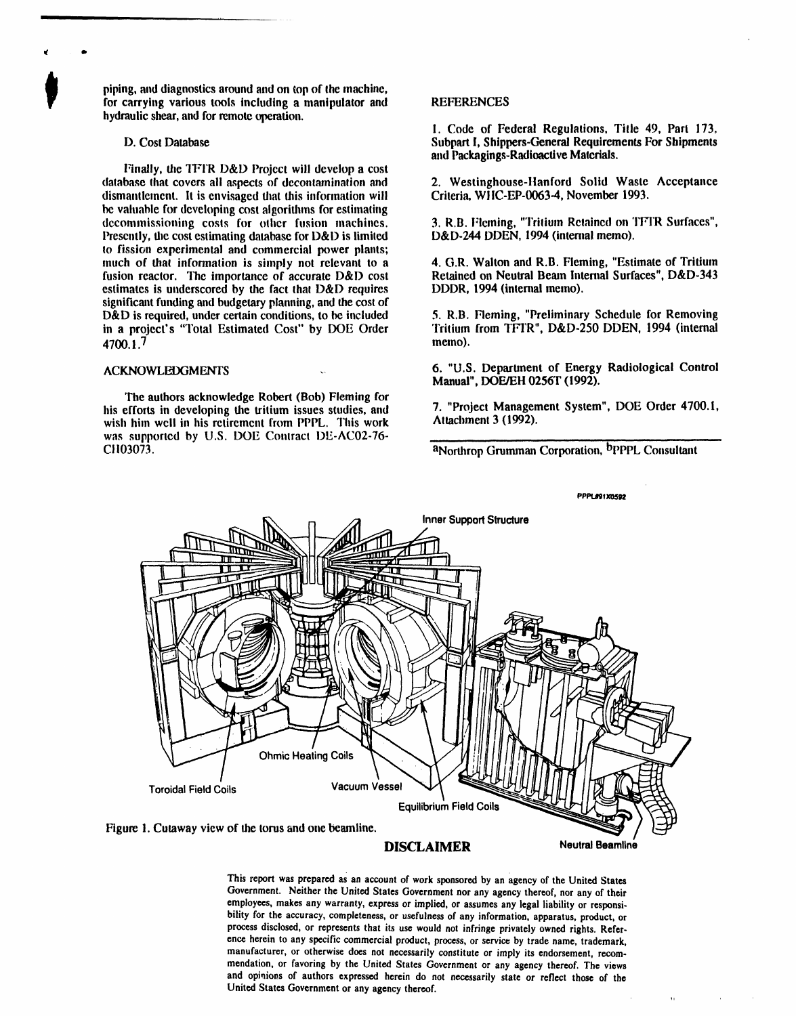**T** for carrying various tools including a manipulator and **KEPERENCE** piping, and diagnostics around and on top of the machine. **hyd***r***aulic shear, and fo**r **remote t**\_**e***r***atio**n**.**

**I**

F**inally,** th**e TIrI'R D&D** Pr**oje**c**t will** d**ev**e**lop a** c**ost** d**a**ta**base I**h**at covers all aspects** of **deconta**m**inatio**n **and 2**. **Westing**h**ouse-ltanford Solid** W**aste Accepta**n**ce** dismantlement. It is envisaged that this information will b**e val**u**able for developi**n**g cost algori**thm**s for es**t**itnati**n**g** decommissioning costs for other fusion machines. 3. R.B. Fleming, "Tritium Retained on TFTR Surfaces", Presently, the cost estimating database for D&D is limited D&D-244 DDEN, 1994 (internal memo). Presently, the cost estimating database for D&D is limited **to fissio**n *e***xperim**e**ntal and comm***e***rcial po**we**r pla**n**ts;** much of that information is simply not relevant to a<br>fusion reactor. The importance of accurate D&D cost<br>Retained on Neutral Beam Internal Surfaces", D&D-343 fusion reactor. The importance of accurate D&D cost Retained on Neutral Beam Int<br>estimates is underscored by the fact that D&D requires DDDR, 1994 (internal memo). **estimates** is underscored by the fact that  $D&D$  requires **sig**n**ific**ml**t fu**n**ding** mic**!budg***e***tary plan**n**ing, and t**h*e* **cost of** D&D is required, under certain conditions, to be included 5. R.B. Fleming, "Preliminary Schedule for Removing<br>in a project's "Total Estimated Cost" by DOE Order Tritium from TFTR", D&D-250 DDEN, 1994 (internal in a project's "Total Estimated Cost" by DOE Order Tritium  $4700.1$ .<sup>7</sup> memo). **4700.1.7** m**e**m**o)**.

**Th**e **au**th**ors ackn**o**wl**e**dg**e **R**obe**rt (B**o**b) Fl**e**ming f**o**r** his efforts in developing the tritium issues studies, and <br>wish him well in his retirement from PPPL. This work Attachment 3 (1992). **wish him well in his retirement from PPPL. This work** w**as supported by U**.**S. DOE Co**nl**rac**t **D**E**-AC**0**2-76-**

**I. Code of Federal Regulations, Title 49, P**a**rt 173**: D**. Cost** D**at**a**base Subpar**t **I, Shippe**r**s-General R**e**quir**e**men**t**s For Shipments a**tt**d** P**a**c**kagings-Radioactiv**e **M**ate**rials.**

AC**KN**O**WLEDG**M**Bq***T*S **,** 6. "**U**.**S. DeparUn**e**nt of En**e**rgy Radiol**o**g**i**cal** Co**ntrol Man**u**al**"**, DOE***/***EH** 0**2**56*T* **(1992).**

 $\mathbf{v}_\mathrm{f}$  .

**C! 10**3**073**. **aNor**th**rop Grunun**an **Corporation, b**p**PPL Co**n**sul**tan**t**



This report was prepared as an account of work sponsored by an agency of the United States Government. Neither the United States Government nor any agency thereof, nor any of their employees, makes any warranty, express or implied, or assumes any legal liability or responsi**bilityfor t**he **accuracy**,**compl**e**t**e**n**e**ssor**, **us**e**fuln**e**ssof anyinformation,apparatus,prod**uc**t***,***or proc**e**ssdisclos**ed,**or r**e**pr**e**s**e**ntst**h**at its us**e **wouldnot infring**e**privat**e**lyown**e**drig**h**ts**.**R**e**f**e**r.** e**n**cehe**r**e**into anysp**e**cificco**mme**rcialproduct**,**proc**e**ssor**, **s**e**rvi***c*e**by trad**e**nam**e**,trad**e**mark,** manufacturer, or otherwise does not necessarily constitute or imply its endorsement, recom**m**e**ndation**,**or favoringby t**he **Unit**ed **Stat**e**sGo***v*e**rnm**e**ntor anyag**e**n***c***yt**he**r**e**of.T**he **vi**ew**s** and opinions of authors expressed herein do not necessarily state or reflect those of the United States Government or any agency thereof.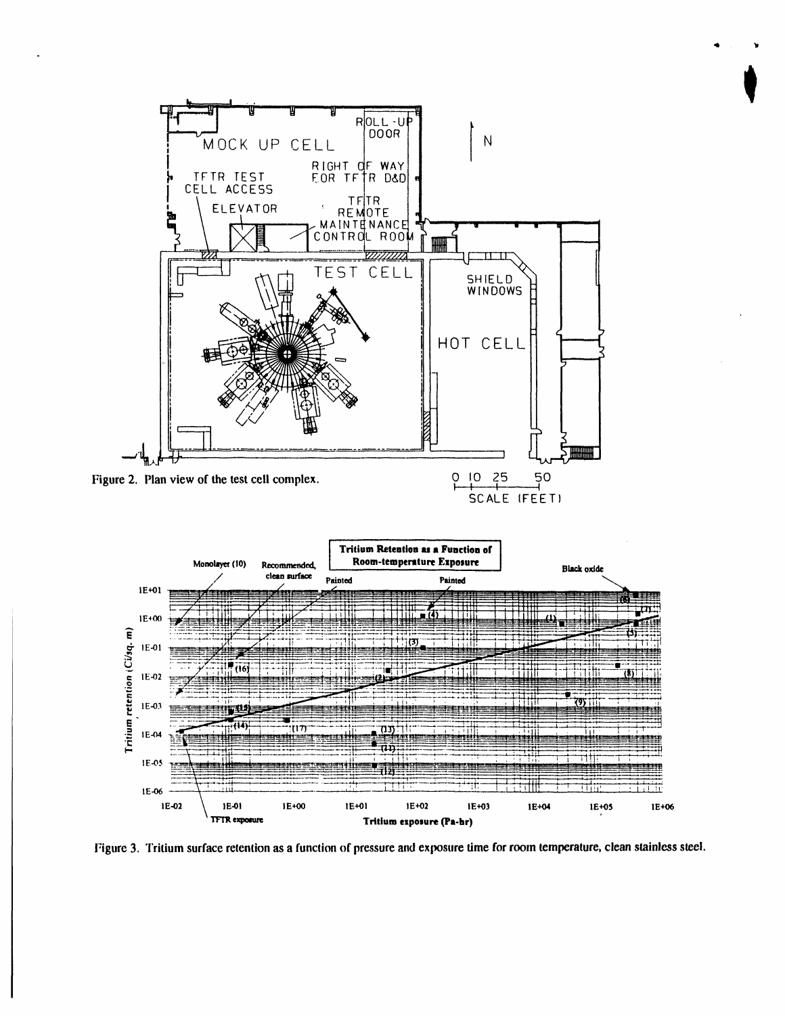



Figure 3. Tritium surface retention as a function of pressure and exposure time for room temperature, clean stainless steel.